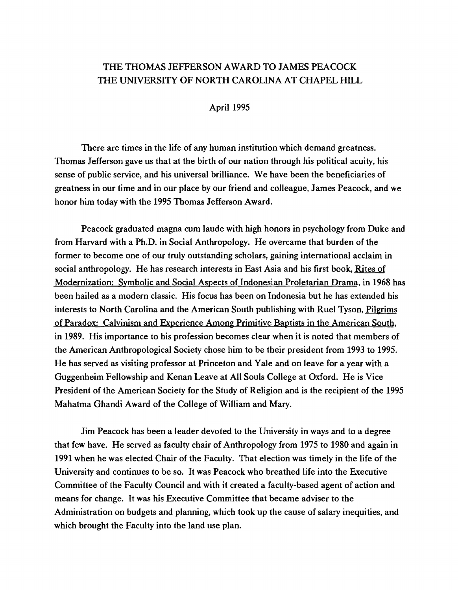## THE THOMAS JEFFERSON AWARD TO JAMES PEACOCK THE UNIVERSITY OF NORTH CAROLINA AT CHAPEL HILL

April 1995

There are times in the life of any human institution which demand greatness. Thomas Jefferson gave us that at the birth of our nation through his political acuity, his sense of public service, and his universal brilliance. We have been the beneficiaries of greatness in our time and in our place by our friend and colleague, James Peacock, and we honor him today with the 1995 Thomas Jefferson Award.

Peacock graduated magna cum laude with high honors in psychology from Duke and from Harvard with a Ph.D. in Social Anthropology. He overcame that burden of the former to become one of our truly outstanding scholars, gaining international acclaim in social anthropology. He has research interests in East Asia and his first book, Rites of Modernization: Symbolic and Social Aspects of Indonesian Proletarian Drama, in 1968 has been hailed as a modern classic. His focus has been on Indonesia but he has extended his interests to North Carolina and the American South publishing with Ruel Tyson, Pilgrims of Paradox: Calvinism and Experience Among Primitive Baptists in the American South, in 1989. His importance to his profession becomes clear when it is noted that members of the American Anthropological Society chose him to be their president from 1993 to 1995. He has served as visiting professor at Princeton and Yale and on leave for a year with a Guggenheim Fellowship and Kenan Leave at All Souls College at Oxford. He is Vice President of the American Society for the Study of Religion and is the recipient of the 1995 Mahatma Ghandi Award of the College of William and Mary.

Jim Peacock has been a leader devoted to the University in ways and to a degree that few have. He served as faculty chair of Anthropology from 1975 to 1980 and again in 1991 when he was elected Chair of the Faculty. That election was timely in the life of the University and continues to be so. It was Peacock who breathed life into the Executive Committee of the Faculty Council and with it created a faculty-based agent of action and means for change. It was his Executive Committee that became adviser to the Administration on budgets and planning, which took up the cause of salary inequities, and which brought the Faculty into the land use plan.